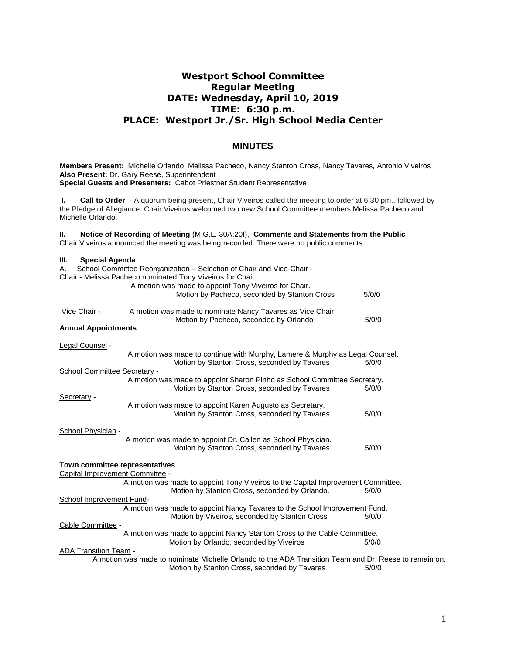# **Westport School Committee Regular Meeting DATE: Wednesday, April 10, 2019 TIME: 6:30 p.m. PLACE: Westport Jr./Sr. High School Media Center**

# **MINUTES**

**Members Present:** Michelle Orlando, Melissa Pacheco, Nancy Stanton Cross, Nancy Tavares*,* Antonio Viveiros **Also Present:** Dr. Gary Reese, Superintendent **Special Guests and Presenters:** Cabot Priestner Student Representative

**I. Call to Order** - A quorum being present, Chair Viveiros called the meeting to order at 6:30 pm., followed by the Pledge of Allegiance. Chair Viveiros welcomed two new School Committee members Melissa Pacheco and Michelle Orlando.

**II. Notice of Recording of Meeting** (M.G.L. 30A:20f), **Comments and Statements from the Public** – Chair Viveiros announced the meeting was being recorded. There were no public comments.

| Ш.<br><b>Special Agenda</b>         |                                                                                                       |       |
|-------------------------------------|-------------------------------------------------------------------------------------------------------|-------|
| А.                                  | School Committee Reorganization - Selection of Chair and Vice-Chair -                                 |       |
|                                     | Chair - Melissa Pacheco nominated Tony Viveiros for Chair.                                            |       |
|                                     | A motion was made to appoint Tony Viveiros for Chair.                                                 |       |
|                                     | Motion by Pacheco, seconded by Stanton Cross                                                          | 5/0/0 |
|                                     |                                                                                                       |       |
| Vice Chair -                        | A motion was made to nominate Nancy Tavares as Vice Chair.                                            |       |
|                                     | Motion by Pacheco, seconded by Orlando                                                                | 5/0/0 |
| <b>Annual Appointments</b>          |                                                                                                       |       |
|                                     |                                                                                                       |       |
| <u>Legal Counsel</u> -              |                                                                                                       |       |
|                                     | A motion was made to continue with Murphy, Lamere & Murphy as Legal Counsel.                          |       |
|                                     | Motion by Stanton Cross, seconded by Tavares                                                          | 5/0/0 |
| <b>School Committee Secretary -</b> |                                                                                                       |       |
|                                     | A motion was made to appoint Sharon Pinho as School Committee Secretary.                              |       |
|                                     | Motion by Stanton Cross, seconded by Tavares                                                          | 5/0/0 |
| Secretary -                         |                                                                                                       |       |
|                                     | A motion was made to appoint Karen Augusto as Secretary.                                              |       |
|                                     | Motion by Stanton Cross, seconded by Tavares                                                          | 5/0/0 |
|                                     |                                                                                                       |       |
| School Physician -                  |                                                                                                       |       |
|                                     | A motion was made to appoint Dr. Callen as School Physician.                                          |       |
|                                     | Motion by Stanton Cross, seconded by Tavares                                                          | 5/0/0 |
|                                     |                                                                                                       |       |
| Town committee representatives      |                                                                                                       |       |
| Capital Improvement Committee -     |                                                                                                       |       |
|                                     | A motion was made to appoint Tony Viveiros to the Capital Improvement Committee.                      |       |
|                                     | Motion by Stanton Cross, seconded by Orlando.                                                         | 5/0/0 |
| School Improvement Fund-            |                                                                                                       |       |
|                                     | A motion was made to appoint Nancy Tavares to the School Improvement Fund.                            |       |
|                                     | Motion by Viveiros, seconded by Stanton Cross                                                         | 5/0/0 |
| Cable Committee -                   |                                                                                                       |       |
|                                     | A motion was made to appoint Nancy Stanton Cross to the Cable Committee.                              |       |
|                                     | Motion by Orlando, seconded by Viveiros                                                               | 5/0/0 |
| <b>ADA Transition Team -</b>        |                                                                                                       |       |
|                                     | A motion was made to nominate Michelle Orlando to the ADA Transition Team and Dr. Reese to remain on. |       |
|                                     | Motion by Stanton Cross, seconded by Tavares                                                          | 5/0/0 |
|                                     |                                                                                                       |       |
|                                     |                                                                                                       |       |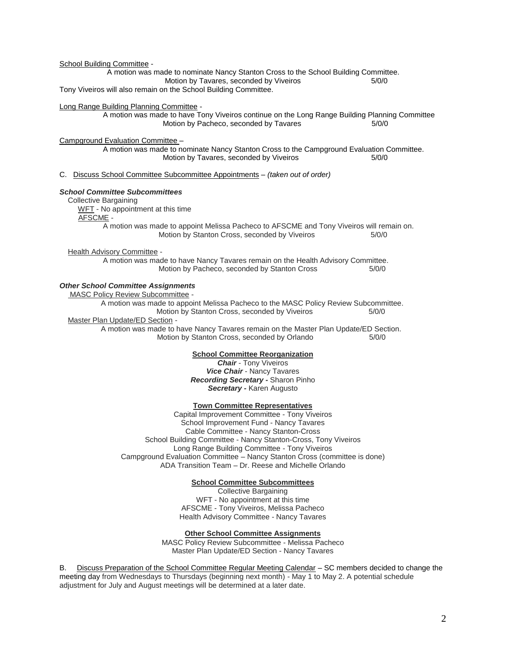School Building Committee - A motion was made to nominate Nancy Stanton Cross to the School Building Committee. Motion by Tavares, seconded by Viveiros 6/0/0 Tony Viveiros will also remain on the School Building Committee. Long Range Building Planning Committee - A motion was made to have Tony Viveiros continue on the Long Range Building Planning Committee Motion by Pacheco, seconded by Tavares 5/0/0 Campground Evaluation Committee – A motion was made to nominate Nancy Stanton Cross to the Campground Evaluation Committee. Motion by Tavares, seconded by Viveiros 6/0/0 C. Discuss School Committee Subcommittee Appointments – *(taken out of order) School Committee Subcommittees* Collective Bargaining WFT - No appointment at this time AFSCME - A motion was made to appoint Melissa Pacheco to AFSCME and Tony Viveiros will remain on. Motion by Stanton Cross, seconded by Viveiros 6/0/0 Health Advisory Committee - A motion was made to have Nancy Tavares remain on the Health Advisory Committee. Motion by Pacheco, seconded by Stanton Cross 5/0/0 *Other School Committee Assignments* MASC Policy Review Subcommittee - A motion was made to appoint Melissa Pacheco to the MASC Policy Review Subcommittee. Motion by Stanton Cross, seconded by Viveiros 6/0/0 Master Plan Update/ED Section - A motion was made to have Nancy Tavares remain on the Master Plan Update/ED Section. Motion by Stanton Cross, seconded by Orlando 5/0/0 **School Committee Reorganization** *Chair* - Tony Viveiros *Vice Chair* - Nancy Tavares *Recording Secretary -* Sharon Pinho *Secretary -* Karen Augusto **Town Committee Representatives** Capital Improvement Committee - Tony Viveiros

School Improvement Fund - Nancy Tavares Cable Committee - Nancy Stanton-Cross School Building Committee - Nancy Stanton-Cross, Tony Viveiros Long Range Building Committee - Tony Viveiros Campground Evaluation Committee – Nancy Stanton Cross (committee is done) ADA Transition Team – Dr. Reese and Michelle Orlando

#### **School Committee Subcommittees**

Collective Bargaining WFT - No appointment at this time AFSCME - Tony Viveiros, Melissa Pacheco Health Advisory Committee - Nancy Tavares

**Other School Committee Assignments**

MASC Policy Review Subcommittee - Melissa Pacheco Master Plan Update/ED Section - Nancy Tavares

B. Discuss Preparation of the School Committee Regular Meeting Calendar - SC members decided to change the meeting day from Wednesdays to Thursdays (beginning next month) - May 1 to May 2. A potential schedule adjustment for July and August meetings will be determined at a later date.